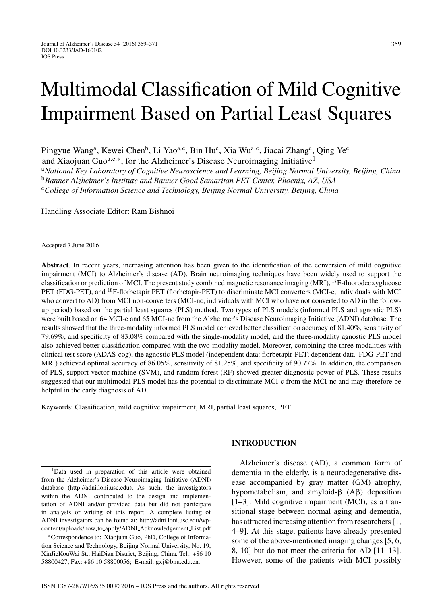359

# Multimodal Classification of Mild Cognitive Impairment Based on Partial Least Squares

Pingyue Wang<sup>a</sup>, Kewei Chen<sup>b</sup>, Li Yao<sup>a,c</sup>, Bin Hu<sup>c</sup>, Xia Wu<sup>a,c</sup>, Jiacai Zhang<sup>c</sup>, Qing Ye<sup>c</sup> and Xiaojuan Guo<sup>a,c,\*</sup>, for the Alzheimer's Disease Neuroimaging Initiative<sup>1</sup> <sup>a</sup>*National Key Laboratory of Cognitive Neuroscience and Learning, Beijing Normal University, Beijing, China* <sup>b</sup>*Banner Alzheimer's Institute and Banner Good Samaritan PET Center, Phoenix, AZ, USA* <sup>c</sup>*College of Information Science and Technology, Beijing Normal University, Beijing, China*

Handling Associate Editor: Ram Bishnoi

Accepted 7 June 2016

**Abstract**. In recent years, increasing attention has been given to the identification of the conversion of mild cognitive impairment (MCI) to Alzheimer's disease (AD). Brain neuroimaging techniques have been widely used to support the classification or prediction of MCI. The present study combined magnetic resonance imaging (MRI),  ${}^{18}F$ -fluorodeoxyglucose PET (FDG-PET), and <sup>18</sup>F-florbetapir PET (florbetapir-PET) to discriminate MCI converters (MCI-c, individuals with MCI who convert to AD) from MCI non-converters (MCI-nc, individuals with MCI who have not converted to AD in the followup period) based on the partial least squares (PLS) method. Two types of PLS models (informed PLS and agnostic PLS) were built based on 64 MCI-c and 65 MCI-nc from the Alzheimer's Disease Neuroimaging Initiative (ADNI) database. The results showed that the three-modality informed PLS model achieved better classification accuracy of 81.40%, sensitivity of 79.69%, and specificity of 83.08% compared with the single-modality model, and the three-modality agnostic PLS model also achieved better classification compared with the two-modality model. Moreover, combining the three modalities with clinical test score (ADAS-cog), the agnostic PLS model (independent data: florbetapir-PET; dependent data: FDG-PET and MRI) achieved optimal accuracy of 86.05%, sensitivity of 81.25%, and specificity of 90.77%. In addition, the comparison of PLS, support vector machine (SVM), and random forest (RF) showed greater diagnostic power of PLS. These results suggested that our multimodal PLS model has the potential to discriminate MCI-c from the MCI-nc and may therefore be helpful in the early diagnosis of AD.

Keywords: Classification, mild cognitive impairment, MRI, partial least squares, PET

<sup>1</sup>Data used in preparation of this article were obtained from the Alzheimer's Disease Neuroimaging Initiative (ADNI) database [\(http://adni.loni.usc.edu](http://adni.loni.usc.edu)). As such, the investigators within the ADNI contributed to the design and implementation of ADNI and/or provided data but did not participate in analysis or writing of this report. A complete listing of ADNI investigators can be found at: [http://adni.loni.usc.edu/wp](http://adni.loni.usc.edu/wp-content/uploads/how_to_apply/ADNI_Acknowledgement_List.pdf)[content/uploads/how](http://adni.loni.usc.edu/wp-content/uploads/how_to_apply/ADNI_Acknowledgement_List.pdf) to apply/ADNI Acknowledgement List.pdf

∗Correspondence to: Xiaojuan Guo, PhD, College of Information Science and Technology, Beijing Normal University, No. 19, XinJieKouWai St., HaiDian District, Beijing, China. Tel.: +86 10 58800427; Fax: +86 10 58800056; E-mail: [gxj@bnu.edu.cn](mailto:gxj@bnu.edu.cn).

# **INTRODUCTION**

Alzheimer's disease (AD), a common form of dementia in the elderly, is a neurodegenerative disease accompanied by gray matter (GM) atrophy, hypometabolism, and amyloid- $\beta$  (A $\beta$ ) deposition [1–3]. Mild cognitive impairment (MCI), as a transitional stage between normal aging and dementia, has attracted increasing attention from researchers [1, 4–9]. At this stage, patients have already presented some of the above-mentioned imaging changes [5, 6, 8, 10] but do not meet the criteria for AD [11–13]. However, some of the patients with MCI possibly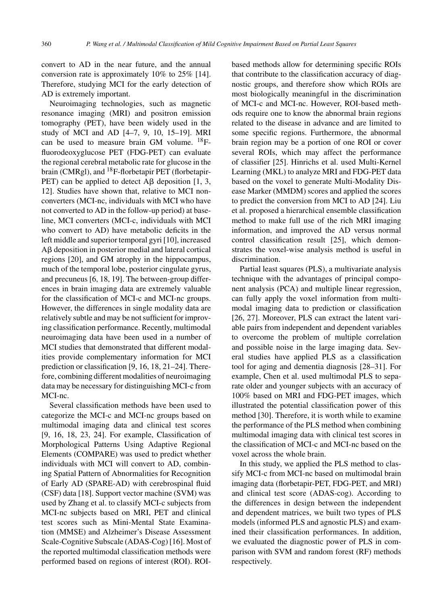convert to AD in the near future, and the annual conversion rate is approximately 10% to 25% [14]. Therefore, studying MCI for the early detection of AD is extremely important.

Neuroimaging technologies, such as magnetic resonance imaging (MRI) and positron emission tomography (PET), have been widely used in the study of MCI and AD [4–7, 9, 10, 15–19]. MRI can be used to measure brain GM volume. 18Ffluorodeoxyglucose PET (FDG-PET) can evaluate the regional cerebral metabolic rate for glucose in the brain (CMRgl), and <sup>18</sup>F-florbetapir PET (florbetapir-PET) can be applied to detect  $\text{A}\beta$  deposition [1, 3, 12]. Studies have shown that, relative to MCI nonconverters (MCI-nc, individuals with MCI who have not converted to AD in the follow-up period) at baseline, MCI converters (MCI-c, individuals with MCI who convert to AD) have metabolic deficits in the left middle and superior temporal gyri [10], increased A $\beta$  deposition in posterior medial and lateral cortical regions [20], and GM atrophy in the hippocampus, much of the temporal lobe, posterior cingulate gyrus, and precuneus [6, 18, 19]. The between-group differences in brain imaging data are extremely valuable for the classification of MCI-c and MCI-nc groups. However, the differences in single modality data are relatively subtle and may be not sufficient for improving classification performance. Recently, multimodal neuroimaging data have been used in a number of MCI studies that demonstrated that different modalities provide complementary information for MCI prediction or classification [9, 16, 18, 21–24]. Therefore, combining different modalities of neuroimaging data may be necessary for distinguishing MCI-c from MCI-nc.

Several classification methods have been used to categorize the MCI-c and MCI-nc groups based on multimodal imaging data and clinical test scores [9, 16, 18, 23, 24]. For example, Classification of Morphological Patterns Using Adaptive Regional Elements (COMPARE) was used to predict whether individuals with MCI will convert to AD, combining Spatial Pattern of Abnormalities for Recognition of Early AD (SPARE-AD) with cerebrospinal fluid (CSF) data [18]. Support vector machine (SVM) was used by Zhang et al. to classify MCI-c subjects from MCI-nc subjects based on MRI, PET and clinical test scores such as Mini-Mental State Examination (MMSE) and Alzheimer's Disease Assessment Scale-Cognitive Subscale (ADAS-Cog) [16]. Most of the reported multimodal classification methods were performed based on regions of interest (ROI). ROI-

based methods allow for determining specific ROIs that contribute to the classification accuracy of diagnostic groups, and therefore show which ROIs are most biologically meaningful in the discrimination of MCI-c and MCI-nc. However, ROI-based methods require one to know the abnormal brain regions related to the disease in advance and are limited to some specific regions. Furthermore, the abnormal brain region may be a portion of one ROI or cover several ROIs, which may affect the performance of classifier [25]. Hinrichs et al. used Multi-Kernel Learning (MKL) to analyze MRI and FDG-PET data based on the voxel to generate Multi-Modality Disease Marker (MMDM) scores and applied the scores to predict the conversion from MCI to AD [24]. Liu et al. proposed a hierarchical ensemble classification method to make full use of the rich MRI imaging information, and improved the AD versus normal control classification result [25], which demonstrates the voxel-wise analysis method is useful in discrimination.

Partial least squares (PLS), a multivariate analysis technique with the advantages of principal component analysis (PCA) and multiple linear regression, can fully apply the voxel information from multimodal imaging data to prediction or classification [26, 27]. Moreover, PLS can extract the latent variable pairs from independent and dependent variables to overcome the problem of multiple correlation and possible noise in the large imaging data. Several studies have applied PLS as a classification tool for aging and dementia diagnosis [28–31]. For example, Chen et al. used multimodal PLS to separate older and younger subjects with an accuracy of 100% based on MRI and FDG-PET images, which illustrated the potential classification power of this method [30]. Therefore, it is worth while to examine the performance of the PLS method when combining multimodal imaging data with clinical test scores in the classification of MCI-c and MCI-nc based on the voxel across the whole brain.

In this study, we applied the PLS method to classify MCI-c from MCI-nc based on multimodal brain imaging data (florbetapir-PET, FDG-PET, and MRI) and clinical test score (ADAS-cog). According to the differences in design between the independent and dependent matrices, we built two types of PLS models (informed PLS and agnostic PLS) and examined their classification performances. In addition, we evaluated the diagnostic power of PLS in comparison with SVM and random forest (RF) methods respectively.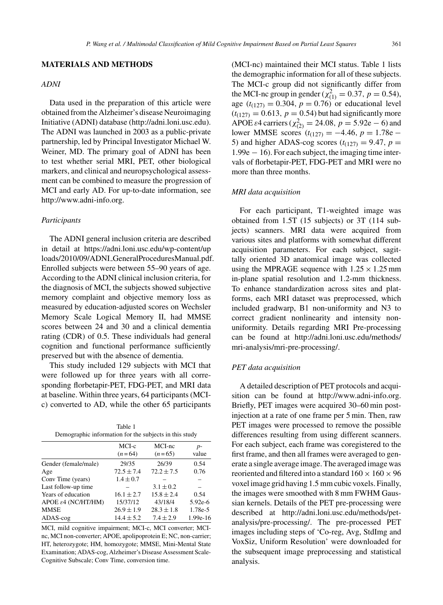# **MATERIALS AND METHODS**

# *ADNI*

Data used in the preparation of this article were obtained from the Alzheimer's disease Neuroimaging Initiative (ADNI) database ([http://adni.loni.usc.edu\)](http://adni.loni.usc.edu). The ADNI was launched in 2003 as a public-private partnership, led by Principal Investigator Michael W. Weiner, MD. The primary goal of ADNI has been to test whether serial MRI, PET, other biological markers, and clinical and neuropsychological assessment can be combined to measure the progression of MCI and early AD. For up-to-date information, see <http://www.adni-info.org>.

# *Participants*

The ADNI general inclusion criteria are described in detail at [https://adni.loni.usc.edu/wp-content/up](https://adni.loni.usc.edu/wp-content/uploads/2010/09/ADNI_GeneralProceduresManual.pdf) loads/2010/09/ADNI [GeneralProceduresManual.pdf.](https://adni.loni.usc.edu/wp-content/uploads/2010/09/ADNI_GeneralProceduresManual.pdf) Enrolled subjects were between 55–90 years of age. According to the ADNI clinical inclusion criteria, for the diagnosis of MCI, the subjects showed subjective memory complaint and objective memory loss as measured by education-adjusted scores on Wechsler Memory Scale Logical Memory II, had MMSE scores between 24 and 30 and a clinical dementia rating (CDR) of 0.5. These individuals had general cognition and functional performance sufficiently preserved but with the absence of dementia.

This study included 129 subjects with MCI that were followed up for three years with all corresponding florbetapir-PET, FDG-PET, and MRI data at baseline. Within three years, 64 participants (MCIc) converted to AD, while the other 65 participants

| Table 1                                                |
|--------------------------------------------------------|
| Demographic information for the subjects in this study |

| MCI-c<br>$(n=64)$ | MCI-nc<br>$(n=65)$ | $p-$<br>value |
|-------------------|--------------------|---------------|
| 29/35             | 26/39              | 0.54          |
| $72.5 \pm 7.4$    | $72.2 \pm 7.5$     | 0.76          |
| $1.4 \pm 0.7$     |                    |               |
|                   | $3.1 \pm 0.2$      |               |
| $16.1 \pm 2.7$    | $15.8 + 2.4$       | 0.54          |
| 15/37/12          | 43/18/4            | $5.92e-6$     |
| $26.9 \pm 1.9$    | $28.3 \pm 1.8$     | 1.78e-5       |
| $14.4 \pm 5.2$    | $7.4 \pm 2.9$      | 1.99e-16      |
|                   |                    |               |

MCI, mild cognitive impairment; MCI-c, MCI converter; MCInc, MCI non-converter; APOE, apolipoprotein E; NC, non-carrier; HT, heterozygote; HM, homozygote; MMSE, Mini-Mental State Examination; ADAS-cog, Alzheimer's Disease Assessment Scale-Cognitive Subscale; Conv Time, conversion time.

(MCI-nc) maintained their MCI status. Table 1 lists the demographic information for all of these subjects. The MCI-c group did not significantly differ from the MCI-nc group in gender ( $\chi^2_{(1)} = 0.37, p = 0.54$ ), age  $(t_{(127)} = 0.304, p = 0.76)$  or educational level  $(t_{(127)} = 0.613, p = 0.54)$  but had significantly more APOE *ε*4 carriers ( $\chi^2_{(2)} = 24.08$ ,  $p = 5.92e - 6$ ) and lower MMSE scores  $(t_{(127)} = -4.46, p = 1.78e -$ 5) and higher ADAS-cog scores ( $t_{(127)} = 9.47$ ,  $p =$ 1*.*99e − 16). For each subject, the imaging time intervals of florbetapir-PET, FDG-PET and MRI were no more than three months.

# *MRI data acquisition*

For each participant, T1-weighted image was obtained from 1.5T (15 subjects) or 3T (114 subjects) scanners. MRI data were acquired from various sites and platforms with somewhat different acquisition parameters. For each subject, sagittally oriented 3D anatomical image was collected using the MPRAGE sequence with  $1.25 \times 1.25$  mm in-plane spatial resolution and 1.2-mm thickness. To enhance standardization across sites and platforms, each MRI dataset was preprocessed, which included gradwarp, B1 non-uniformity and N3 to correct gradient nonlinearity and intensity nonuniformity. Details regarding MRI Pre-processing can be found at [http://adni.loni.usc.edu/methods/](http://adni.loni.usc.edu/methods/mri-analysis/mri-pre-processing/) mri-analysis/mri-pre-processing/.

# *PET data acquisition*

A detailed description of PET protocols and acquisition can be found at [http://www.adni-info.org.](http://www.adni-info.org) Briefly, PET images were acquired 30–60 min postinjection at a rate of one frame per 5 min. Then, raw PET images were processed to remove the possible differences resulting from using different scanners. For each subject, each frame was coregistered to the first frame, and then all frames were averaged to generate a single average image. The averaged image was reoriented and filtered into a standard  $160 \times 160 \times 96$ voxel image grid having 1.5 mm cubic voxels. Finally, the images were smoothed with 8 mm FWHM Gaussian kernels. Details of the PET pre-processing were described at [http://adni.loni.usc.edu/methods/pet](http://adni.loni.usc.edu/methods/pet-analysis/pre-processing/)analysis/pre-processing/. The pre-processed PET images including steps of 'Co-reg, Avg, StdImg and VoxSiz, Uniform Resolution' were downloaded for the subsequent image preprocessing and statistical analysis.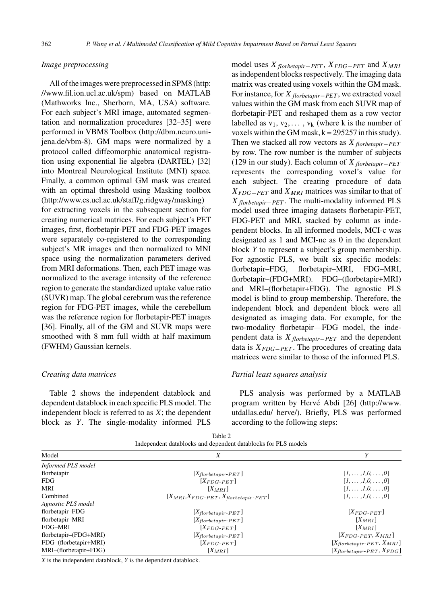#### *Image preprocessing*

All of the images were preprocessed in SPM8 [\(http:](http://www.fil.ion.ucl.ac.uk/spm) [//www.fil.ion.ucl.ac.uk/spm](http://www.fil.ion.ucl.ac.uk/spm)) based on MATLAB (Mathworks Inc., Sherborn, MA, USA) software. For each subject's MRI image, automated segmentation and normalization procedures [32–35] were performed in VBM8 Toolbox [\(http://dbm.neuro.uni](http://dbm.neuro.uni-jena.de/vbm-8)jena.de/vbm-8). GM maps were normalized by a protocol called diffeomorphic anatomical registration using exponential lie algebra (DARTEL) [32] into Montreal Neurological Institute (MNI) space. Finally, a common optimal GM mask was created with an optimal threshold using Masking toolbox [\(http://www.cs.ucl.ac.uk/staff/g.ridgway/masking\)](http://www.cs.ucl.ac.uk/staff/g.ridgway/masking) for extracting voxels in the subsequent section for creating numerical matrices. For each subject's PET images, first, florbetapir-PET and FDG-PET images were separately co-registered to the corresponding subject's MR images and then normalized to MNI space using the normalization parameters derived from MRI deformations. Then, each PET image was normalized to the average intensity of the reference region to generate the standardized uptake value ratio (SUVR) map. The global cerebrum was the reference region for FDG-PET images, while the cerebellum was the reference region for florbetapir-PET images [36]. Finally, all of the GM and SUVR maps were smoothed with 8 mm full width at half maximum (FWHM) Gaussian kernels.

#### *Creating data matrices*

Table 2 shows the independent datablock and dependent datablock in each specific PLS model. The independent block is referred to as *X*; the dependent block as *Y*. The single-modality informed PLS model uses *Xflorbetapir*−*PET* , *XFDG*−*PET* and *XMRI* as independent blocks respectively. The imaging data matrix was created using voxels within the GM mask. For instance, for *Xflorbetapir*−*PET* , we extracted voxel values within the GM mask from each SUVR map of florbetapir-PET and reshaped them as a row vector labelled as  $v_1, v_2, \ldots, v_k$  (where k is the number of voxels within the GM mask,  $k = 295257$  in this study). Then we stacked all row vectors as *X florbetapir*−*PET* by row. The row number is the number of subjects (129 in our study). Each column of *Xflorbetapir*−*PET* represents the corresponding voxel's value for each subject. The creating procedure of data *X<sub>FDG−PET</sub>* and *X<sub>MRI</sub>* matrices was similar to that of *Xflorbetapir*−*PET* . The multi-modality informed PLS model used three imaging datasets florbetapir-PET, FDG-PET and MRI, stacked by column as independent blocks. In all informed models, MCI-c was designated as 1 and MCI-nc as 0 in the dependent block *Y* to represent a subject's group membership. For agnostic PLS, we built six specific models: florbetapir–FDG, florbetapir–MRI, FDG–MRI, florbetapir–(FDG+MRI). FDG–(florbetapir+MRI) and MRI–(florbetapir+FDG). The agnostic PLS model is blind to group membership. Therefore, the independent block and dependent block were all designated as imaging data. For example, for the two-modality florbetapir—FDG model, the independent data is *Xflorbetapir*−*PET* and the dependent data is *XFDG*−*PET* . The procedures of creating data matrices were similar to those of the informed PLS.

#### *Partial least squares analysis*

PLS analysis was performed by a MATLAB program written by Hervé Abdi [26] ([http://www.](http://www.utdallas.edu/~herve/) [utdallas.edu/ herve/](http://www.utdallas.edu/~herve/)). Briefly, PLS was performed according to the following steps:

| Independent datablocks and dependent datablocks for PLS models |                                              |                                                      |  |  |
|----------------------------------------------------------------|----------------------------------------------|------------------------------------------------------|--|--|
| Model                                                          | X                                            | Y                                                    |  |  |
| Informed PLS model                                             |                                              |                                                      |  |  |
| florbetapir                                                    | $[X_{\text{Horbetanir-PET}}]$                | $[1, \ldots, 1, 0, \ldots, 0]$                       |  |  |
| <b>FDG</b>                                                     | $[X_{FDG-PET}]$                              | $[1, \ldots, 1, 0, \ldots, 0]$                       |  |  |
| <b>MRI</b>                                                     | $[X_{MRI}]$                                  | $[1, \ldots, 1, 0, \ldots, 0]$                       |  |  |
| Combined                                                       | $[X_{MRI}, X_{FDG-PET}, X_{Horbetanir-PET}]$ | $[1, \ldots, 1, 0, \ldots, 0]$                       |  |  |
| Agnostic PLS model                                             |                                              |                                                      |  |  |
| florbetapir-FDG                                                | $[X_{\text{Horbetapir-PET}}]$                | $[X_{FDG-PET}]$                                      |  |  |
| florbetapir-MRI                                                | $[X_{\text{Horbetanir-PET}}]$                | $[X_{MRI}]$                                          |  |  |
| <b>FDG-MRI</b>                                                 | $[X_{FDG-PET}]$                              | $[X_{MRI}]$                                          |  |  |
| florbetapir-(FDG+MRI)                                          | $[X_{\text{Horbetanir-PET}}]$                | $[X_{FDG-PET}, X_{MRI}]$                             |  |  |
| FDG-(florbetapir+MRI)                                          | $[X_{FDG-PET}]$                              | $[X_{\text{florbetapir-PET}}, X_{\text{MRI}}]$       |  |  |
| MRI-(florbetapir+FDG)                                          | $[X_{MRI}]$                                  | $[X_{floor}$ <sub><i>Rorbetapir-PET, XFDG</i>]</sub> |  |  |

*X* is the independent datablock, *Y* is the dependent datablock.

# Table 2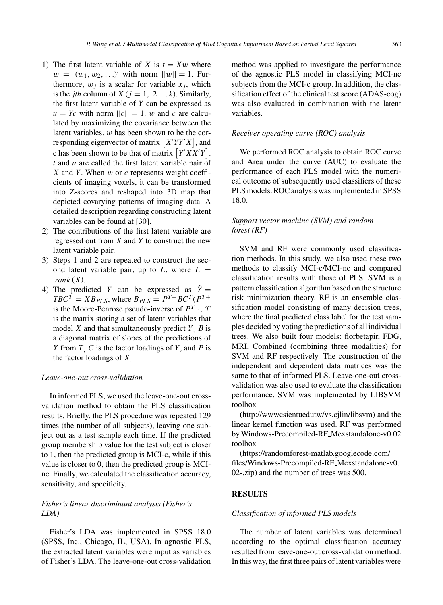- 1) The first latent variable of *X* is  $t = Xw$  where  $w = (w_1, w_2, \ldots)'$  with norm  $||w|| = 1$ . Furthermore,  $w_j$  is a scalar for variable  $x_j$ , which is the *jth* column of *X* ( $j = 1, 2...k$ ). Similarly, the first latent variable of *Y* can be expressed as  $u = Yc$  with norm  $||c|| = 1$ . *w* and *c* are calculated by maximizing the covariance between the latent variables. *w* has been shown to be the corresponding eigenvector of matrix  $\left[ X'YY'X \right]$ , and c has been shown to be that of matrix  $|Y'XX'Y|$ . *t* and *u* are called the first latent variable pair of *X* and *Y*. When *w* or *c* represents weight coefficients of imaging voxels, it can be transformed into Z-scores and reshaped into 3D map that depicted covarying patterns of imaging data. A detailed description regarding constructing latent variables can be found at [30].
- 2) The contributions of the first latent variable are regressed out from *X* and *Y* to construct the new latent variable pair.
- 3) Steps 1 and 2 are repeated to construct the second latent variable pair, up to  $L$ , where  $L =$ *rank* (*X*).
- 4) The predicted *Y* can be expressed as  $\hat{Y} =$  $TBC^T = XB_{PLS}$ , where  $B_{PLS} = P^T + BC^T(P^T +$ is the Moore-Penrose pseudo-inverse of  $P^T$ ,  $T$ is the matrix storing a set of latent variables that model *X* and that simultaneously predict  $Y \cdot B$  is a diagonal matrix of slopes of the predictions of *Y* from *T , C* is the factor loadings of *Y*, and *P* is the factor loadings of *X.*

# *Leave-one-out cross-validation*

In informed PLS, we used the leave-one-out crossvalidation method to obtain the PLS classification results. Briefly, the PLS procedure was repeated 129 times (the number of all subjects), leaving one subject out as a test sample each time. If the predicted group membership value for the test subject is closer to 1, then the predicted group is MCI-c, while if this value is closer to 0, then the predicted group is MCInc. Finally, we calculated the classification accuracy, sensitivity, and specificity.

# *Fisher's linear discriminant analysis (Fisher's LDA)*

Fisher's LDA was implemented in SPSS 18.0 (SPSS, Inc., Chicago, IL, USA). In agnostic PLS, the extracted latent variables were input as variables of Fisher's LDA. The leave-one-out cross-validation

method was applied to investigate the performance of the agnostic PLS model in classifying MCI-nc subjects from the MCI-c group. In addition, the classification effect of the clinical test score (ADAS-cog) was also evaluated in combination with the latent variables.

## *Receiver operating curve (ROC) analysis*

We performed ROC analysis to obtain ROC curve and Area under the curve (AUC) to evaluate the performance of each PLS model with the numerical outcome of subsequently used classifiers of these PLS models. ROC analysis was implemented in SPSS 18.0.

# *Support vector machine (SVM) and random forest (RF)*

SVM and RF were commonly used classification methods. In this study, we also used these two methods to classify MCI-c/MCI-nc and compared classification results with those of PLS. SVM is a pattern classification algorithm based on the structure risk minimization theory. RF is an ensemble classification model consisting of many decision trees, where the final predicted class label for the test samples decided by voting the predictions of all individual trees. We also built four models: florbetapir, FDG, MRI, Combined (combining three modalities) for SVM and RF respectively. The construction of the independent and dependent data matrices was the same to that of informed PLS. Leave-one-out crossvalidation was also used to evaluate the classification performance. SVM was implemented by LIBSVM toolbox

[\(http://wwwcsientuedutw/vs.cjlin/libsvm\)](http://wwwcsientuedutw/vs.cjlin/libsvm) and the linear kernel function was used. RF was performed by Windows-Precompiled-RF Mexstandalone-v0.02 toolbox

(https://randomforest-matlab.googlecode.com/ files/Windows-Precompiled-RF Mexstandalone-v0. 02-.zip) and the number of trees was 500.

# **RESULTS**

#### *Classification of informed PLS models*

The number of latent variables was determined according to the optimal classification accuracy resulted from leave-one-out cross-validation method. In this way, the first three pairs of latent variables were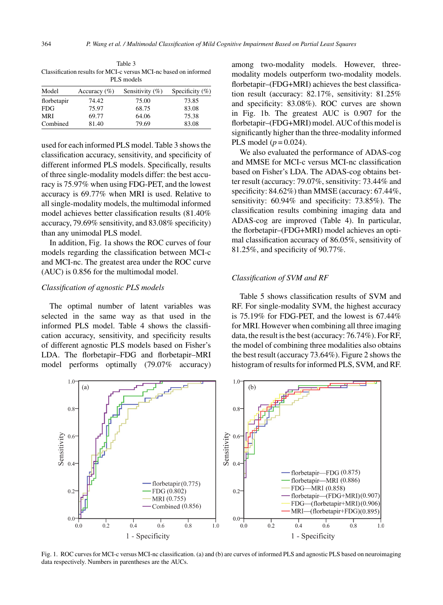Table 3 Classification results for MCI-c versus MCI-nc based on informed PLS models

| Model       | Accuracy $(\% )$ | Sensitivity $(\%)$ | Specificity $(\%)$ |  |
|-------------|------------------|--------------------|--------------------|--|
| florbetapir | 74.42            | 75.00              | 73.85              |  |
| <b>FDG</b>  | 75.97            | 68.75              | 83.08              |  |
| <b>MRI</b>  | 69.77            | 64.06              | 75.38              |  |
| Combined    | 81.40            | 79.69              | 83.08              |  |

used for each informed PLS model. Table 3 shows the classification accuracy, sensitivity, and specificity of different informed PLS models. Specifically, results of three single-modality models differ: the best accuracy is 75.97% when using FDG-PET, and the lowest accuracy is 69.77% when MRI is used. Relative to all single-modality models, the multimodal informed model achieves better classification results (81.40% accuracy, 79.69% sensitivity, and 83.08% specificity) than any unimodal PLS model.

In addition, Fig. 1a shows the ROC curves of four models regarding the classification between MCI-c and MCI-nc. The greatest area under the ROC curve (AUC) is 0.856 for the multimodal model.

# *Classification of agnostic PLS models*

The optimal number of latent variables was selected in the same way as that used in the informed PLS model. Table 4 shows the classification accuracy, sensitivity, and specificity results of different agnostic PLS models based on Fisher's LDA. The florbetapir–FDG and florbetapir–MRI model performs optimally (79.07% accuracy)

among two-modality models. However, threemodality models outperform two-modality models. florbetapir–(FDG+MRI) achieves the best classification result (accuracy: 82.17%, sensitivity: 81.25% and specificity: 83.08%). ROC curves are shown in Fig. 1b. The greatest AUC is 0.907 for the florbetapir–(FDG+MRI) model. AUC of this model is significantly higher than the three-modality informed PLS model ( $p = 0.024$ ).

We also evaluated the performance of ADAS-cog and MMSE for MCI-c versus MCI-nc classification based on Fisher's LDA. The ADAS-cog obtains better result (accuracy: 79.07%, sensitivity: 73.44% and specificity: 84.62%) than MMSE (accuracy: 67.44%, sensitivity: 60.94% and specificity: 73.85%). The classification results combining imaging data and ADAS-cog are improved (Table 4). In particular, the florbetapir–(FDG+MRI) model achieves an optimal classification accuracy of 86.05%, sensitivity of 81.25%, and specificity of 90.77%.

#### *Classification of SVM and RF*

Table 5 shows classification results of SVM and RF. For single-modality SVM, the highest accuracy is 75.19% for FDG-PET, and the lowest is 67.44% for MRI. However when combining all three imaging data, the result is the best (accuracy: 76.74%). For RF, the model of combining three modalities also obtains the best result (accuracy 73.64%). Figure 2 shows the histogram of results for informed PLS, SVM, and RF.



Fig. 1. ROC curves for MCI-c versus MCI-nc classification. (a) and (b) are curves of informed PLS and agnostic PLS based on neuroimaging data respectively. Numbers in parentheses are the AUCs.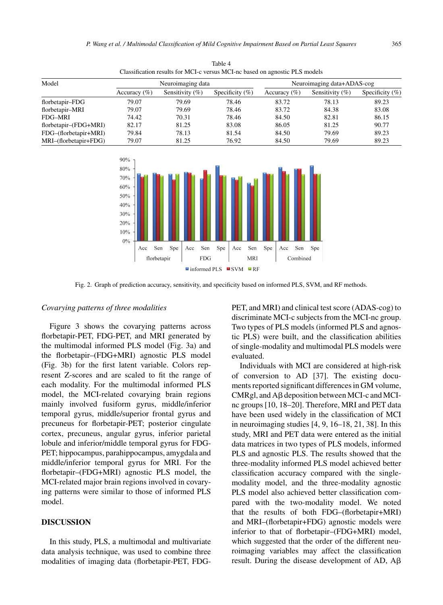| Chassingation results for MCT C versus MCT he based on agnosite I LS models |                   |                     |                     |                            |                     |                    |
|-----------------------------------------------------------------------------|-------------------|---------------------|---------------------|----------------------------|---------------------|--------------------|
| Model                                                                       | Neuroimaging data |                     |                     | Neuroimaging data+ADAS-cog |                     |                    |
|                                                                             | Accuracy $(\% )$  | Sensitivity $(\% )$ | Specificity $(\% )$ | Accuracy $(\% )$           | Sensitivity $(\% )$ | Specificity $(\%)$ |
| florbetapir-FDG                                                             | 79.07             | 79.69               | 78.46               | 83.72                      | 78.13               | 89.23              |
| florbetapir-MRI                                                             | 79.07             | 79.69               | 78.46               | 83.72                      | 84.38               | 83.08              |
| FDG-MRI                                                                     | 74.42             | 70.31               | 78.46               | 84.50                      | 82.81               | 86.15              |
| florbetapir-(FDG+MRI)                                                       | 82.17             | 81.25               | 83.08               | 86.05                      | 81.25               | 90.77              |
| FDG-(florbetapir+MRI)                                                       | 79.84             | 78.13               | 81.54               | 84.50                      | 79.69               | 89.23              |
| MRI-(florbetapir+FDG)                                                       | 79.07             | 81.25               | 76.92               | 84.50                      | 79.69               | 89.23              |

Table 4 Classification results for MCI-c versus MCI-nc based on agnostic PLS models



Fig. 2. Graph of prediction accuracy, sensitivity, and specificity based on informed PLS, SVM, and RF methods.

#### *Covarying patterns of three modalities*

Figure 3 shows the covarying patterns across florbetapir-PET, FDG-PET, and MRI generated by the multimodal informed PLS model (Fig. 3a) and the florbetapir–(FDG+MRI) agnostic PLS model (Fig. 3b) for the first latent variable. Colors represent Z-scores and are scaled to fit the range of each modality. For the multimodal informed PLS model, the MCI-related covarying brain regions mainly involved fusiform gyrus, middle/inferior temporal gyrus, middle/superior frontal gyrus and precuneus for florbetapir-PET; posterior cingulate cortex, precuneus, angular gyrus, inferior parietal lobule and inferior/middle temporal gyrus for FDG-PET; hippocampus, parahippocampus, amygdala and middle/inferior temporal gyrus for MRI. For the florbetapir–(FDG+MRI) agnostic PLS model, the MCI-related major brain regions involved in covarying patterns were similar to those of informed PLS model.

# **DISCUSSION**

In this study, PLS, a multimodal and multivariate data analysis technique, was used to combine three modalities of imaging data (florbetapir-PET, FDG- PET, and MRI) and clinical test score (ADAS-cog) to discriminate MCI-c subjects from the MCI-nc group. Two types of PLS models (informed PLS and agnostic PLS) were built, and the classification abilities of single-modality and multimodal PLS models were evaluated.

Individuals with MCI are considered at high-risk of conversion to AD [37]. The existing documents reported significant differences in GM volume,  $CMRgl$ , and  $A\beta$  deposition between MCI-c and MCInc groups [10, 18–20]. Therefore, MRI and PET data have been used widely in the classification of MCI in neuroimaging studies [4, 9, 16–18, 21, 38]. In this study, MRI and PET data were entered as the initial data matrices in two types of PLS models, informed PLS and agnostic PLS. The results showed that the three-modality informed PLS model achieved better classification accuracy compared with the singlemodality model, and the three-modality agnostic PLS model also achieved better classification compared with the two-modality model. We noted that the results of both FDG–(florbetapir+MRI) and MRI–(florbetapir+FDG) agnostic models were inferior to that of florbetapir–(FDG+MRI) model, which suggested that the order of the different neuroimaging variables may affect the classification result. During the disease development of  $AD$ ,  $A\beta$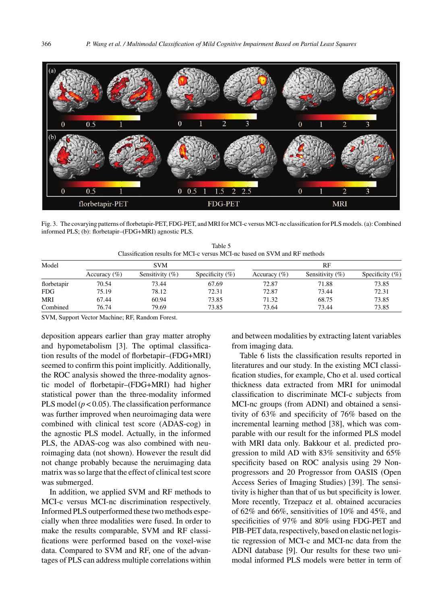

Fig. 3. The covarying patterns of florbetapir-PET, FDG-PET, and MRI for MCI-c versus MCI-nc classification for PLS models. (a): Combined informed PLS; (b): florbetapir–(FDG+MRI) agnostic PLS.

| $1$ and $\sim$<br>Classification results for MCI-c versus MCI-nc based on SVM and RF methods |                  |                     |                     |                  |                     |                     |  |
|----------------------------------------------------------------------------------------------|------------------|---------------------|---------------------|------------------|---------------------|---------------------|--|
| Model                                                                                        | <b>SVM</b>       |                     |                     | RF               |                     |                     |  |
|                                                                                              | Accuracy $(\% )$ | Sensitivity $(\% )$ | Specificity $(\% )$ | Accuracy $(\% )$ | Sensitivity $(\% )$ | Specificity $(\% )$ |  |
| florbetapir                                                                                  | 70.54            | 73.44               | 67.69               | 72.87            | 71.88               | 73.85               |  |
| <b>FDG</b>                                                                                   | 75.19            | 78.12               | 72.31               | 72.87            | 73.44               | 72.31               |  |
| MRI                                                                                          | 67.44            | 60.94               | 73.85               | 71.32            | 68.75               | 73.85               |  |

Combined 76.74 79.69 73.85 73.64 73.44 73.85

Table 5

SVM, Support Vector Machine; RF, Random Forest.

deposition appears earlier than gray matter atrophy and hypometabolism [3]. The optimal classification results of the model of florbetapir–(FDG+MRI) seemed to confirm this point implicitly. Additionally, the ROC analysis showed the three-modality agnostic model of florbetapir–(FDG+MRI) had higher statistical power than the three-modality informed PLS model  $(p < 0.05)$ . The classification performance was further improved when neuroimaging data were combined with clinical test score (ADAS-cog) in the agnostic PLS model. Actually, in the informed PLS, the ADAS-cog was also combined with neuroimaging data (not shown). However the result did not change probably because the neruimaging data matrix was so large that the effect of clinical test score was submerged.

In addition, we applied SVM and RF methods to MCI-c versus MCI-nc discrimination respectively. Informed PLS outperformed these two methods especially when three modalities were fused. In order to make the results comparable, SVM and RF classifications were performed based on the voxel-wise data. Compared to SVM and RF, one of the advantages of PLS can address multiple correlations within

and between modalities by extracting latent variables from imaging data.

Table 6 lists the classification results reported in literatures and our study. In the existing MCI classification studies, for example, Cho et al. used cortical thickness data extracted from MRI for unimodal classification to discriminate MCI-c subjects from MCI-nc groups (from ADNI) and obtained a sensitivity of 63% and specificity of 76% based on the incremental learning method [38], which was comparable with our result for the informed PLS model with MRI data only. Bakkour et al. predicted progression to mild AD with 83% sensitivity and 65% specificity based on ROC analysis using 29 Nonprogressors and 20 Progressor from OASIS (Open Access Series of Imaging Studies) [39]. The sensitivity is higher than that of us but specificity is lower. More recently, Trzepacz et al. obtained accuracies of 62% and 66%, sensitivities of 10% and 45%, and specificities of 97% and 80% using FDG-PET and PIB-PET data, respectively, based on elastic net logistic regression of MCI-c and MCI-nc data from the ADNI database [9]. Our results for these two unimodal informed PLS models were better in term of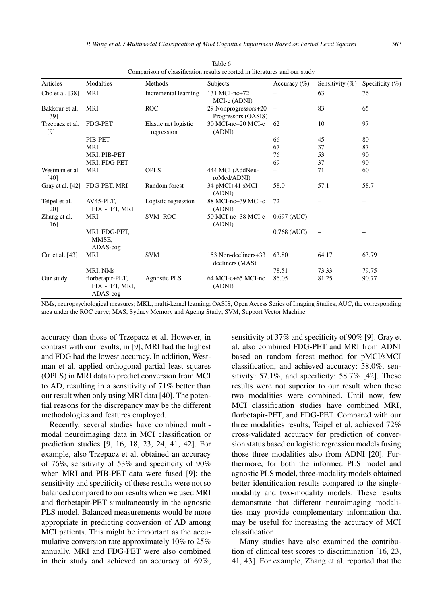|                          |                                               |                                    | Comparison or chassineation results reported in incritiatives and our study |                          |                     |                     |
|--------------------------|-----------------------------------------------|------------------------------------|-----------------------------------------------------------------------------|--------------------------|---------------------|---------------------|
| Articles                 | Modalties                                     | Methods                            | Subjects                                                                    | Accuracy $(\% )$         | Sensitivity $(\% )$ | Specificity $(\% )$ |
| Cho et al. [38]          | <b>MRI</b>                                    | Incremental learning               | 131 MCI-nc+72<br>MCI-c (ADNI)                                               |                          | 63                  | 76                  |
| Bakkour et al.<br>$[39]$ | <b>MRI</b>                                    | <b>ROC</b>                         | 29 Nonprogressors+20<br>Progressors (OASIS)                                 | $\overline{\phantom{a}}$ | 83                  | 65                  |
| Trzepacz et al.<br>[9]   | <b>FDG-PET</b>                                | Elastic net logistic<br>regression | 30 MCI-nc+20 MCI-c<br>(ADNI)                                                | 62                       | 10                  | 97                  |
|                          | PIB-PET                                       |                                    |                                                                             | 66                       | 45                  | 80                  |
|                          | <b>MRI</b>                                    |                                    |                                                                             | 67                       | 37                  | 87                  |
|                          | MRI, PIB-PET                                  |                                    |                                                                             | 76                       | 53                  | 90                  |
|                          | MRI, FDG-PET                                  |                                    |                                                                             | 69                       | 37                  | 90                  |
| Westman et al.<br>[40]   | <b>MRI</b>                                    | <b>OPLS</b>                        | 444 MCI (AddNeu-<br>roMed/ADNI)                                             | $\overline{\phantom{0}}$ | 71                  | 60                  |
| Gray et al. [42]         | FDG-PET, MRI                                  | Random forest                      | 34 pMCI+41 sMCI<br>(ADNI)                                                   | 58.0                     | 57.1                | 58.7                |
| Teipel et al.<br>[20]    | AV45-PET,<br>FDG-PET, MRI                     | Logistic regression                | 88 MCI-nc+39 MCI-c<br>(ADNI)                                                | 72                       |                     |                     |
| Zhang et al.<br>[16]     | MRI                                           | SVM+ROC                            | 50 MCI-nc+38 MCI-c<br>(ADNI)                                                | $0.697$ (AUC)            |                     |                     |
|                          | MRI, FDG-PET,<br>MMSE,<br>ADAS-cog            |                                    |                                                                             | $0.768$ (AUC)            |                     |                     |
| Cui et al. [43]          | <b>MRI</b>                                    | <b>SVM</b>                         | 153 Non-decliners+33<br>decliners (MAS)                                     | 63.80                    | 64.17               | 63.79               |
|                          | MRI, NMs                                      |                                    |                                                                             | 78.51                    | 73.33               | 79.75               |
| Our study                | florbetapir-PET,<br>FDG-PET, MRI,<br>ADAS-cog | Agnostic PLS                       | 64 MCI-c+65 MCI-nc<br>(ADNI)                                                | 86.05                    | 81.25               | 90.77               |

Table 6 Comparison of classification results reported in literatures and our study

NMs, neuropsychological measures; MKL, multi-kernel learning; OASIS, Open Access Series of Imaging Studies; AUC, the corresponding area under the ROC curve; MAS, Sydney Memory and Ageing Study; SVM, Support Vector Machine.

accuracy than those of Trzepacz et al. However, in contrast with our results, in [9], MRI had the highest and FDG had the lowest accuracy. In addition, Westman et al. applied orthogonal partial least squares (OPLS) in MRI data to predict conversion from MCI to AD, resulting in a sensitivity of 71% better than our result when only using MRI data [40]. The potential reasons for the discrepancy may be the different methodologies and features employed.

Recently, several studies have combined multimodal neuroimaging data in MCI classification or prediction studies [9, 16, 18, 23, 24, 41, 42]. For example, also Trzepacz et al. obtained an accuracy of 76%, sensitivity of 53% and specificity of 90% when MRI and PIB-PET data were fused [9]; the sensitivity and specificity of these results were not so balanced compared to our results when we used MRI and florbetapir-PET simultaneously in the agnostic PLS model. Balanced measurements would be more appropriate in predicting conversion of AD among MCI patients. This might be important as the accumulative conversion rate approximately 10% to 25% annually. MRI and FDG-PET were also combined in their study and achieved an accuracy of 69%,

sensitivity of 37% and specificity of 90% [9]. Gray et al. also combined FDG-PET and MRI from ADNI based on random forest method for pMCI/sMCI classification, and achieved accuracy: 58.0%, sensitivity: 57.1%, and specificity: 58.7% [42]. These results were not superior to our result when these two modalities were combined. Until now, few MCI classification studies have combined MRI, florbetapir-PET, and FDG-PET. Compared with our three modalities results, Teipel et al. achieved 72% cross-validated accuracy for prediction of conversion status based on logistic regression models fusing those three modalities also from ADNI [20]. Furthermore, for both the informed PLS model and agnostic PLS model, three-modality models obtained better identification results compared to the singlemodality and two-modality models. These results demonstrate that different neuroimaging modalities may provide complementary information that may be useful for increasing the accuracy of MCI classification.

Many studies have also examined the contribution of clinical test scores to discrimination [16, 23, 41, 43]. For example, Zhang et al. reported that the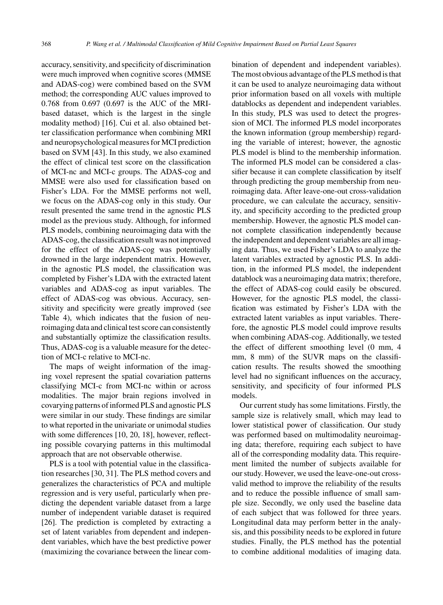accuracy, sensitivity, and specificity of discrimination were much improved when cognitive scores (MMSE and ADAS-cog) were combined based on the SVM method; the corresponding AUC values improved to 0.768 from 0.697 (0.697 is the AUC of the MRIbased dataset, which is the largest in the single modality method) [16]. Cui et al. also obtained better classification performance when combining MRI and neuropsychological measures for MCI prediction based on SVM [43]. In this study, we also examined the effect of clinical test score on the classification of MCI-nc and MCI-c groups. The ADAS-cog and MMSE were also used for classification based on Fisher's LDA. For the MMSE performs not well, we focus on the ADAS-cog only in this study. Our result presented the same trend in the agnostic PLS model as the previous study. Although, for informed PLS models, combining neuroimaging data with the ADAS-cog, the classification result was not improved for the effect of the ADAS-cog was potentially drowned in the large independent matrix. However, in the agnostic PLS model, the classification was completed by Fisher's LDA with the extracted latent variables and ADAS-cog as input variables. The effect of ADAS-cog was obvious. Accuracy, sensitivity and specificity were greatly improved (see Table 4), which indicates that the fusion of neuroimaging data and clinical test score can consistently and substantially optimize the classification results. Thus, ADAS-cog is a valuable measure for the detection of MCI-c relative to MCI-nc.

The maps of weight information of the imaging voxel represent the spatial covariation patterns classifying MCI-c from MCI-nc within or across modalities. The major brain regions involved in covarying patterns of informed PLS and agnostic PLS were similar in our study. These findings are similar to what reported in the univariate or unimodal studies with some differences [10, 20, 18], however, reflecting possible covarying patterns in this multimodal approach that are not observable otherwise.

PLS is a tool with potential value in the classification researches [30, 31]. The PLS method covers and generalizes the characteristics of PCA and multiple regression and is very useful, particularly when predicting the dependent variable dataset from a large number of independent variable dataset is required [26]. The prediction is completed by extracting a set of latent variables from dependent and independent variables, which have the best predictive power (maximizing the covariance between the linear combination of dependent and independent variables). The most obvious advantage of the PLS method is that it can be used to analyze neuroimaging data without prior information based on all voxels with multiple datablocks as dependent and independent variables. In this study, PLS was used to detect the progression of MCI. The informed PLS model incorporates the known information (group membership) regarding the variable of interest; however, the agnostic PLS model is blind to the membership information. The informed PLS model can be considered a classifier because it can complete classification by itself through predicting the group membership from neuroimaging data. After leave-one-out cross-validation procedure, we can calculate the accuracy, sensitivity, and specificity according to the predicted group membership. However, the agnostic PLS model cannot complete classification independently because the independent and dependent variables are all imaging data. Thus, we used Fisher's LDA to analyze the latent variables extracted by agnostic PLS. In addition, in the informed PLS model, the independent datablock was a neuroimaging data matrix; therefore, the effect of ADAS-cog could easily be obscured. However, for the agnostic PLS model, the classification was estimated by Fisher's LDA with the extracted latent variables as input variables. Therefore, the agnostic PLS model could improve results when combining ADAS-cog. Additionally, we tested the effect of different smoothing level (0 mm, 4 mm, 8 mm) of the SUVR maps on the classification results. The results showed the smoothing level had no significant influences on the accuracy, sensitivity, and specificity of four informed PLS models.

Our current study has some limitations. Firstly, the sample size is relatively small, which may lead to lower statistical power of classification. Our study was performed based on multimodality neuroimaging data; therefore, requiring each subject to have all of the corresponding modality data. This requirement limited the number of subjects available for our study. However, we used the leave-one-out crossvalid method to improve the reliability of the results and to reduce the possible influence of small sample size. Secondly, we only used the baseline data of each subject that was followed for three years. Longitudinal data may perform better in the analysis, and this possibility needs to be explored in future studies. Finally, the PLS method has the potential to combine additional modalities of imaging data.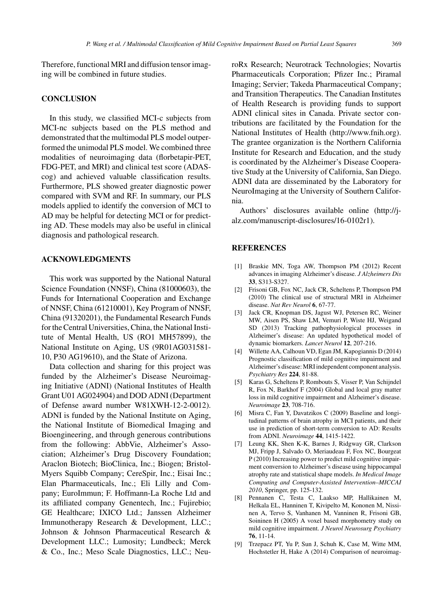Therefore, functional MRI and diffusion tensor imaging will be combined in future studies.

# **CONCLUSION**

In this study, we classified MCI-c subjects from MCI-nc subjects based on the PLS method and demonstrated that the multimodal PLS model outperformed the unimodal PLS model. We combined three modalities of neuroimaging data (florbetapir-PET, FDG-PET, and MRI) and clinical test score (ADAScog) and achieved valuable classification results. Furthermore, PLS showed greater diagnostic power compared with SVM and RF. In summary, our PLS models applied to identify the conversion of MCI to AD may be helpful for detecting MCI or for predicting AD. These models may also be useful in clinical diagnosis and pathological research.

# **ACKNOWLEDGMENTS**

This work was supported by the National Natural Science Foundation (NNSF), China (81000603), the Funds for International Cooperation and Exchange of NNSF, China (61210001), Key Program of NNSF, China (91320201), the Fundamental Research Funds for the Central Universities, China, the National Institute of Mental Health, US (RO1 MH57899), the National Institute on Aging, US (9R01AG031581- 10, P30 AG19610), and the State of Arizona.

Data collection and sharing for this project was funded by the Alzheimer's Disease Neuroimaging Initiative (ADNI) (National Institutes of Health Grant U01 AG024904) and DOD ADNI (Department of Defense award number W81XWH-12-2-0012). ADNI is funded by the National Institute on Aging, the National Institute of Biomedical Imaging and Bioengineering, and through generous contributions from the following: AbbVie, Alzheimer's Association; Alzheimer's Drug Discovery Foundation; Araclon Biotech; BioClinica, Inc.; Biogen; Bristol-Myers Squibb Company; CereSpir, Inc.; Eisai Inc.; Elan Pharmaceuticals, Inc.; Eli Lilly and Company; EuroImmun; F. Hoffmann-La Roche Ltd and its affiliated company Genentech, Inc.; Fujirebio; GE Healthcare; IXICO Ltd.; Janssen Alzheimer Immunotherapy Research & Development, LLC.; Johnson & Johnson Pharmaceutical Research & Development LLC.; Lumosity; Lundbeck; Merck & Co., Inc.; Meso Scale Diagnostics, LLC.; NeuroRx Research; Neurotrack Technologies; Novartis Pharmaceuticals Corporation; Pfizer Inc.; Piramal Imaging; Servier; Takeda Pharmaceutical Company; and Transition Therapeutics. The Canadian Institutes of Health Research is providing funds to support ADNI clinical sites in Canada. Private sector contributions are facilitated by the Foundation for the National Institutes of Health [\(http://www.fnih.org](http://www.fnih.org)). The grantee organization is the Northern California Institute for Research and Education, and the study is coordinated by the Alzheimer's Disease Cooperative Study at the University of California, San Diego. ADNI data are disseminated by the Laboratory for NeuroImaging at the University of Southern California.

Authors' disclosures available online [\(http://j](http://j-alz.com/manuscript-disclosures/16-0102r1)alz.com/manuscript-disclosures/16-0102r1).

# **REFERENCES**

- [1] Braskie MN, Toga AW, Thompson PM (2012) Recent advances in imaging Alzheimer's disease. *J Alzheimers Dis* **33**, S313-S327.
- [2] Frisoni GB, Fox NC, Jack CR, Scheltens P, Thompson PM (2010) The clinical use of structural MRI in Alzheimer disease. *Nat Rev Neurol* **6**, 67-77.
- [3] Jack CR, Knopman DS, Jagust WJ, Petersen RC, Weiner MW, Aisen PS, Shaw LM, Vemuri P, Wiste HJ, Weigand SD (2013) Tracking pathophysiological processes in Alzheimer's disease: An updated hypothetical model of dynamic biomarkers. *Lancet Neurol* **12**, 207-216.
- [4] Willette AA, Calhoun VD, Egan JM, Kapogiannis D (2014) Prognostic classification of mild cognitive impairment and Alzheimer's disease: MRI independent component analysis. *Psychiatry Res* **224**, 81-88.
- [5] Karas G, Scheltens P, Rombouts S, Visser P, Van Schijndel R, Fox N, Barkhof F (2004) Global and local gray matter loss in mild cognitive impairment and Alzheimer's disease. *Neuroimage* **23**, 708-716.
- [6] Misra C, Fan Y, Davatzikos C (2009) Baseline and longitudinal patterns of brain atrophy in MCI patients, and their use in prediction of short-term conversion to AD: Results from ADNI. *Neuroimage* **44**, 1415-1422.
- [7] Leung KK, Shen K-K, Barnes J, Ridgway GR, Clarkson MJ, Fripp J, Salvado O, Meriaudeau F, Fox NC, Bourgeat P (2010) Increasing power to predict mild cognitive impairment conversion to Alzheimer's disease using hippocampal atrophy rate and statistical shape models. *In Medical Image Computing and Computer-Assisted Intervention–MICCAI 2010*, Springer, pp. 125-132.
- [8] Pennanen C, Testa C, Laakso MP, Hallikainen M, Helkala EL, Hanninen T, Kivipelto M, Kononen M, Nissinen A, Tervo S, Vanhanen M, Vanninen R, Frisoni GB, Soininen H (2005) A voxel based morphometry study on mild cognitive impairment. *J Neurol Neurosurg Psychiatry* **76**, 11-14.
- [9] Trzepacz PT, Yu P, Sun J, Schuh K, Case M, Witte MM, Hochstetler H, Hake A (2014) Comparison of neuroimag-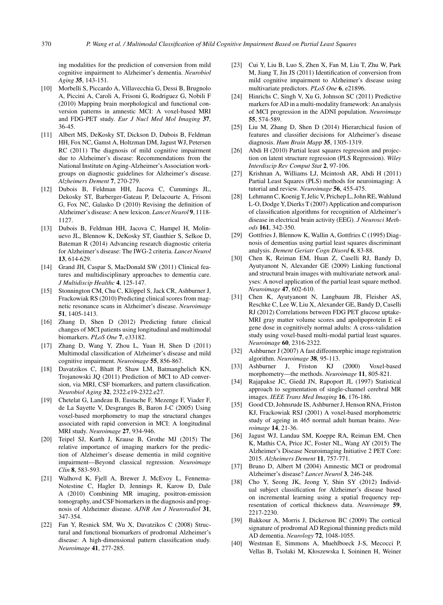ing modalities for the prediction of conversion from mild cognitive impairment to Alzheimer's dementia. *Neurobiol Aging* **35**, 143-151.

- [10] Morbelli S, Piccardo A, Villavecchia G, Dessi B, Brugnolo A, Piccini A, Caroli A, Frisoni G, Rodriguez G, Nobili F (2010) Mapping brain morphological and functional conversion patterns in amnestic MCI: A voxel-based MRI and FDG-PET study. *Eur J Nucl Med Mol Imaging* **37**, 36-45.
- [11] Albert MS, DeKosky ST, Dickson D, Dubois B, Feldman HH, Fox NC, Gamst A, Holtzman DM, Jagust WJ, Petersen RC (2011) The diagnosis of mild cognitive impairment due to Alzheimer's disease: Recommendations from the National Institute on Aging-Alzheimer's Association workgroups on diagnostic guidelines for Alzheimer's disease. *Alzheimers Dement* **7**, 270-279.
- [12] Dubois B, Feldman HH, Jacova C, Cummings JL, Dekosky ST, Barberger-Gateau P, Delacourte A, Frisoni G, Fox NC, Galasko D (2010) Revising the definition of Alzheimer's disease: A new lexicon. *Lancet Neurol* **9**, 1118- 1127.
- [13] Dubois B, Feldman HH, Jacova C, Hampel H, Molinuevo JL, Blennow K, DeKosky ST, Gauthier S, Selkoe D, Bateman R (2014) Advancing research diagnostic criteria for Alzheimer's disease: The IWG-2 criteria. *Lancet Neurol* **13**, 614-629.
- [14] Grand JH, Caspar S, MacDonald SW (2011) Clinical features and multidisciplinary approaches to dementia care. *J Multidiscip Healthc* **4**, 125-147.
- [15] Stonnington CM, Chu C, Klöppel S, Jack CR, Ashburner J, Frackowiak RS (2010) Predicting clinical scores from magnetic resonance scans in Alzheimer's disease. *Neuroimage* **51**, 1405-1413.
- [16] Zhang D, Shen D (2012) Predicting future clinical changes of MCI patients using longitudinal and multimodal biomarkers. *PLoS One* **7**, e33182.
- [17] Zhang D, Wang Y, Zhou L, Yuan H, Shen D (2011) Multimodal classification of Alzheimer's disease and mild cognitive impairment. *Neuroimage* **55**, 856-867.
- [18] Davatzikos C, Bhatt P, Shaw LM, Batmanghelich KN, Trojanowski JQ (2011) Prediction of MCI to AD conversion, via MRI, CSF biomarkers, and pattern classification. *Neurobiol Aging* **32**, 2322.e19-2322.e27.
- [19] Chetelat G, Landeau B, Eustache F, Mezenge F, Viader F, de La Sayette V, Desgranges B, Baron J-C (2005) Using voxel-based morphometry to map the structural changes associated with rapid conversion in MCI: A longitudinal MRI study. *Neuroimage* **27**, 934-946.
- [20] Teipel SJ, Kurth J, Krause B, Grothe MJ (2015) The relative importance of imaging markers for the prediction of Alzheimer's disease dementia in mild cognitive impairment—Beyond classical regression. *Neuroimage Clin* **8**, 583-593.
- [21] Walhovd K, Fjell A, Brewer J, McEvoy L, Fennema-Notestine C, Hagler D, Jennings R, Karow D, Dale A (2010) Combining MR imaging, positron-emission tomography, and CSF biomarkers in the diagnosis and prognosis of Alzheimer disease. *AJNR Am J Neuroradiol* **31**, 347-354.
- [22] Fan Y, Resnick SM, Wu X, Davatzikos C (2008) Structural and functional biomarkers of prodromal Alzheimer's disease: A high-dimensional pattern classification study. *Neuroimage* **41**, 277-285.
- [23] Cui Y, Liu B, Luo S, Zhen X, Fan M, Liu T, Zhu W, Park M, Jiang T, Jin JS (2011) Identification of conversion from mild cognitive impairment to Alzheimer's disease using multivariate predictors. *PLoS One* **6**, e21896.
- [24] Hinrichs C, Singh V, Xu G, Johnson SC (2011) Predictive markers for AD in a multi-modality framework: An analysis of MCI progression in the ADNI population. *Neuroimage* **55**, 574-589.
- [25] Liu M, Zhang D, Shen D (2014) Hierarchical fusion of features and classifier decisions for Alzheimer's disease diagnosis. *Hum Brain Mapp* **35**, 1305-1319.
- [26] Abdi H (2010) Partial least squares regression and projection on latent structure regression (PLS Regression). *Wiley Interdiscip Rev Comput Stat* **2**, 97-106.
- [27] Krishnan A, Williams LJ, Mcintosh AR, Abdi H (2011) Partial Least Squares (PLS) methods for neuroimaging: A tutorial and review. *Neuroimage* **56**, 455-475.
- [28] Lehmann C, Koenig T, Jelic V, Prichep L, John RE, Wahlund L-O, Dodge Y, Dierks T (2007) Application and comparison of classification algorithms for recognition of Alzheimer's disease in electrical brain activity (EEG). *J Neurosci Methods* **161**, 342-350.
- [29] Gottfries J, Blennow K, Wallin A, Gottfries C (1995) Diagnosis of dementias using partial least squares discriminant analysis. *Dement Geriatr Cogn Disord* **6**, 83-88.
- [30] Chen K, Reiman EM, Huan Z, Caselli RJ, Bandy D, Ayutyanont N, Alexander GE (2009) Linking functional and structural brain images with multivariate network analyses: A novel application of the partial least square method. *Neuroimage* **47**, 602-610.
- [31] Chen K, Ayutyanont N, Langbaum JB, Fleisher AS, Reschke C, Lee W, Liu X, Alexander GE, Bandy D, Caselli RJ (2012) Correlations between FDG PET glucose uptake-MRI gray matter volume scores and apolipoprotein E  $\varepsilon$ 4 gene dose in cognitively normal adults: A cross-validation study using voxel-based multi-modal partial least squares. *Neuroimage* **60**, 2316-2322.
- [32] Ashburner J (2007) A fast diffeomorphic image registration algorithm. *Neuroimage* **38**, 95-113.
- [33] Ashburner J, Friston KJ (2000) Voxel-based morphometry—the methods. *Neuroimage* **11**, 805-821.
- [34] Rajapakse JC, Giedd JN, Rapoport JL (1997) Statistical approach to segmentation of single-channel cerebral MR images. *IEEE Trans Med Imaging* **16**, 176-186.
- [35] Good CD, Johnsrude IS, Ashburner J, Henson RNA, Friston KJ, Frackowiak RSJ (2001) A voxel-based morphometric study of ageing in 465 normal adult human brains. *Neuroimage* **14**, 21-36.
- [36] Jagust WJ, Landau SM, Koeppe RA, Reiman EM, Chen K, Mathis CA, Price JC, Foster NL, Wang AY (2015) The Alzheimer's Disease Neuroimaging Initiative 2 PET Core: 2015. *Alzheimers Dement* **11**, 757-771.
- [37] Bruno D, Albert M (2004) Amnestic MCI or prodromal Alzheimer's disease? *Lancet Neurol* **3**, 246-248.
- [38] Cho Y, Seong JK, Jeong Y, Shin SY (2012) Individual subject classification for Alzheimer's disease based on incremental learning using a spatial frequency representation of cortical thickness data. *Neuroimage* **59**, 2217-2230.
- [39] Bakkour A, Morris J, Dickerson BC (2009) The cortical signature of prodromal AD Regional thinning predicts mild AD dementia. *Neurology* **72**, 1048-1055.
- [40] Westman E, Simmons A, Muehlboeck J-S, Mecocci P, Vellas B, Tsolaki M, Kłoszewska I, Soininen H, Weiner